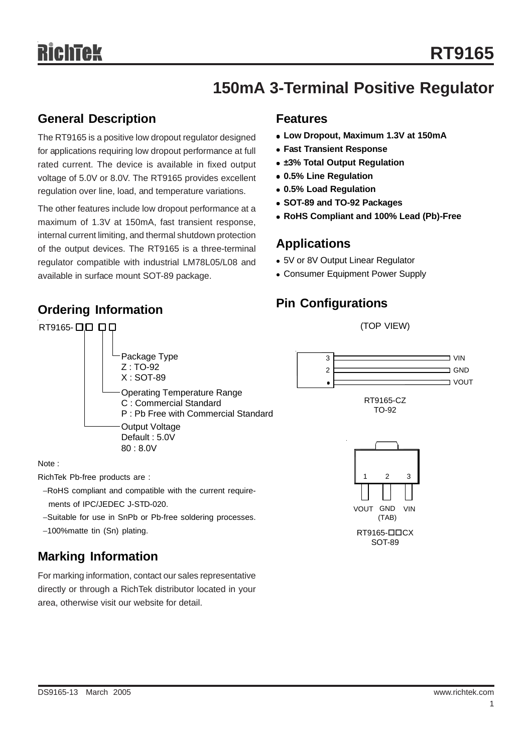# **150mA 3-Terminal Positive Regulator**

## **General Description**

**Ordering Information**

The RT9165 is a positive low dropout regulator designed for applications requiring low dropout performance at full rated current. The device is available in fixed output voltage of 5.0V or 8.0V. The RT9165 provides excellent regulation over line, load, and temperature variations.

The other features include low dropout performance at a maximum of 1.3V at 150mA, fast transient response, internal current limiting, and thermal shutdown protection of the output devices. The RT9165 is a three-terminal regulator compatible with industrial LM78L05/L08 and available in surface mount SOT-89 package.

#### **Features**

- <sup>z</sup> **Low Dropout, Maximum 1.3V at 150mA**
- **Fast Transient Response**
- **±3% Total Output Regulation**
- <sup>z</sup> **0.5% Line Regulation**
- <sup>z</sup> **0.5% Load Regulation**
- <sup>z</sup> **SOT-89 and TO-92 Packages**
- <sup>z</sup> **RoHS Compliant and 100% Lead (Pb)-Free**

### **Applications**

- 5V or 8V Output Linear Regulator
- Consumer Equipment Power Supply

## **Pin Configurations**



ments of IPC/JEDEC J-STD-020.

- −Suitable for use in SnPb or Pb-free soldering processes.
- −100%matte tin (Sn) plating.

## **Marking Information**

For marking information, contact our sales representative directly or through a RichTek distributor located in your area, otherwise visit our website for detail.

SOT-89

VIN

RT9165-**QDCX** 

VOUT GND (TAB)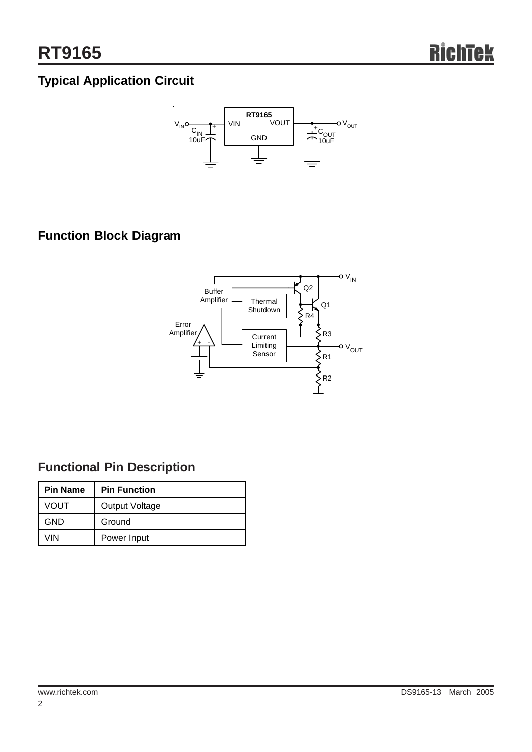# **Typical Application Circuit**



## **Function Block Diagram**



## **Functional Pin Description**

| <b>Pin Name</b> | <b>Pin Function</b> |  |  |
|-----------------|---------------------|--|--|
| VOUT            | Output Voltage      |  |  |
| GND             | Ground              |  |  |
| VIN             | Power Input         |  |  |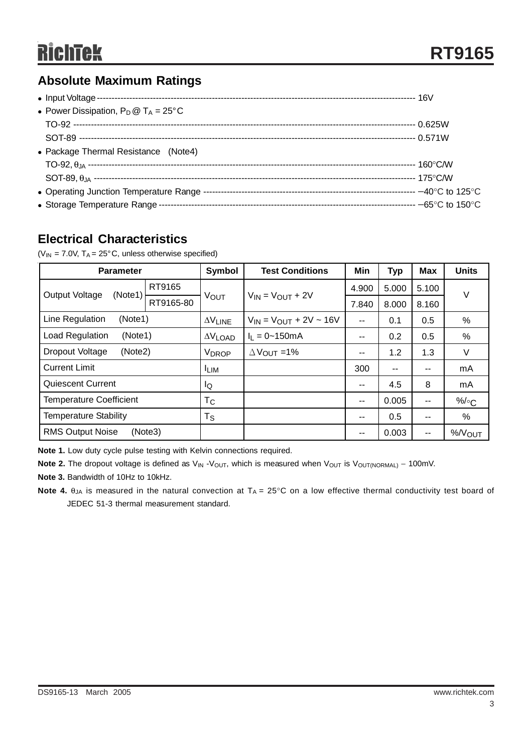## **Absolute Maximum Ratings**

| • Power Dissipation, $P_D @ T_A = 25^{\circ}C$ |  |
|------------------------------------------------|--|
|                                                |  |
|                                                |  |
| • Package Thermal Resistance (Note4)           |  |
|                                                |  |
|                                                |  |
|                                                |  |
|                                                |  |

## **Electrical Characteristics**

( $V_{IN}$  = 7.0V,  $T_A$  = 25°C, unless otherwise specified)

| <b>Parameter</b>                   |           | Symbol          | <b>Test Conditions</b>           | Min           | <b>Typ</b>    | <b>Max</b>    | <b>Units</b>       |
|------------------------------------|-----------|-----------------|----------------------------------|---------------|---------------|---------------|--------------------|
| Output Voltage<br>(Note1)          | RT9165    | VOUT            | $V_{IN} = V_{OUT} + 2V$          | 4.900         | 5.000         | 5.100         | $\vee$             |
|                                    | RT9165-80 |                 |                                  | 7.840         | 8.000         | 8.160         |                    |
| Line Regulation<br>(Note1)         |           | $\Delta V$ LINE | $V_{IN} = V_{OUT} + 2V \sim 16V$ | $\sim$ $\sim$ | 0.1           | 0.5           | %                  |
| Load Regulation<br>(Note1)         |           | $\Delta V$ LOAD | $I_1 = 0 - 150$ m A              | $\sim$ $\sim$ | 0.2           | 0.5           | %                  |
| Dropout Voltage<br>(Note2)         |           | <b>VDROP</b>    | $\triangle V_{\text{OUT}}$ =1%   | $\sim$ $\sim$ | 1.2           | 1.3           | V                  |
| <b>Current Limit</b>               |           | <b>ILIM</b>     |                                  | 300           | $\sim$ $\sim$ | $-$           | mA                 |
| <b>Quiescent Current</b>           |           | lQ              |                                  | $\sim$ $-$    | 4.5           | 8             | mA                 |
| <b>Temperature Coefficient</b>     |           | Тc              |                                  | $\sim$ $\sim$ | 0.005         | $\sim$ $\sim$ | $\%$ / $\circ$ C   |
| <b>Temperature Stability</b>       |           | Ts              |                                  | $\sim$ $-$    | 0.5           | $\sim$ $\sim$ | %                  |
| <b>RMS Output Noise</b><br>(Note3) |           |                 |                                  | --            | 0.003         | --            | %/V <sub>OUT</sub> |

**Note 1.** Low duty cycle pulse testing with Kelvin connections required.

Note 2. The dropout voltage is defined as V<sub>IN</sub> -V<sub>OUT</sub>, which is measured when V<sub>OUT</sub> is V<sub>OUT(NORMAL)</sub> – 100mV.

**Note 3.** Bandwidth of 10Hz to 10kHz.

**Note 4.**  $\theta_{JA}$  is measured in the natural convection at  $T_A = 25^\circ \text{C}$  on a low effective thermal conductivity test board of JEDEC 51-3 thermal measurement standard.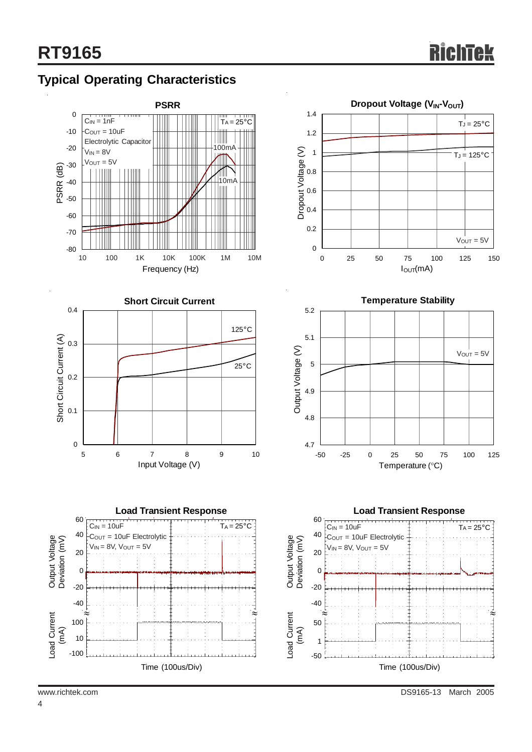## **Typical Operating Characteristics**





0 0.2 0.4 0.6 0.8 1 1.2 1.4 0 25 50 75 100 125 150 IOUT(mA) Dropout Voltage (V)  $V_{OUT} = 5V$  $T_J = 25^{\circ}$ C  $T_J = 125$ °C

**Dropout Voltage (V<sub>IN</sub>-V<sub>OUT</sub>)** 



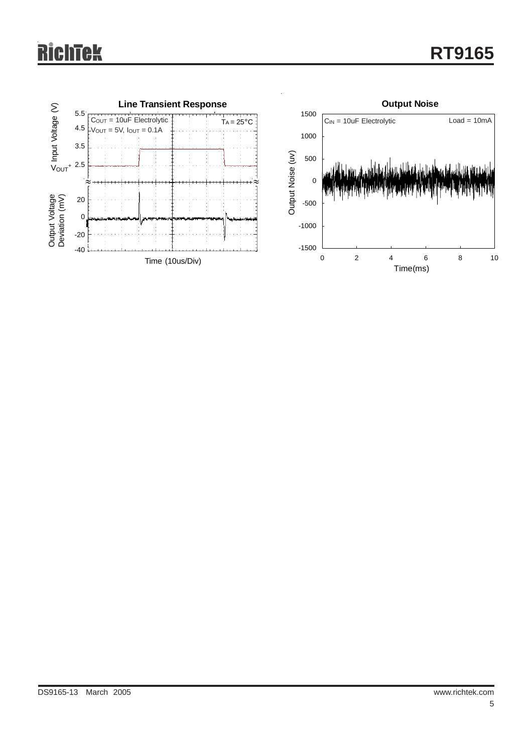### R ichtek

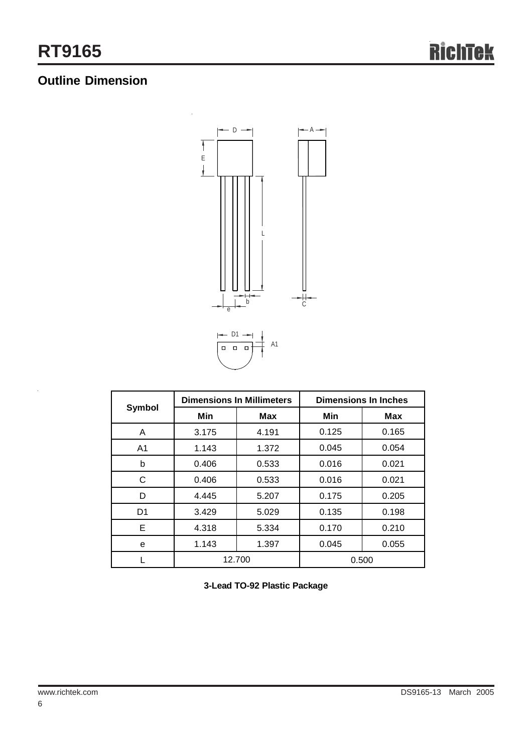## **Outline Dimension**



| Symbol         |        | <b>Dimensions In Millimeters</b> | <b>Dimensions In Inches</b> |       |  |
|----------------|--------|----------------------------------|-----------------------------|-------|--|
|                | Min    | Max                              | Min                         | Max   |  |
| A              | 3.175  | 4.191                            | 0.125                       | 0.165 |  |
| A <sub>1</sub> | 1.143  | 1.372                            | 0.045                       | 0.054 |  |
| b              | 0.406  | 0.533                            | 0.016                       | 0.021 |  |
| C              | 0.406  | 0.533                            | 0.016                       | 0.021 |  |
| D              | 4.445  | 5.207                            | 0.175                       | 0.205 |  |
| D1             | 3.429  | 5.029                            | 0.135                       | 0.198 |  |
| Е              | 4.318  | 5.334                            | 0.170                       | 0.210 |  |
| е              | 1.143  | 1.397                            | 0.045                       | 0.055 |  |
|                | 12.700 |                                  | 0.500                       |       |  |

**3-Lead TO-92 Plastic Package**

l.